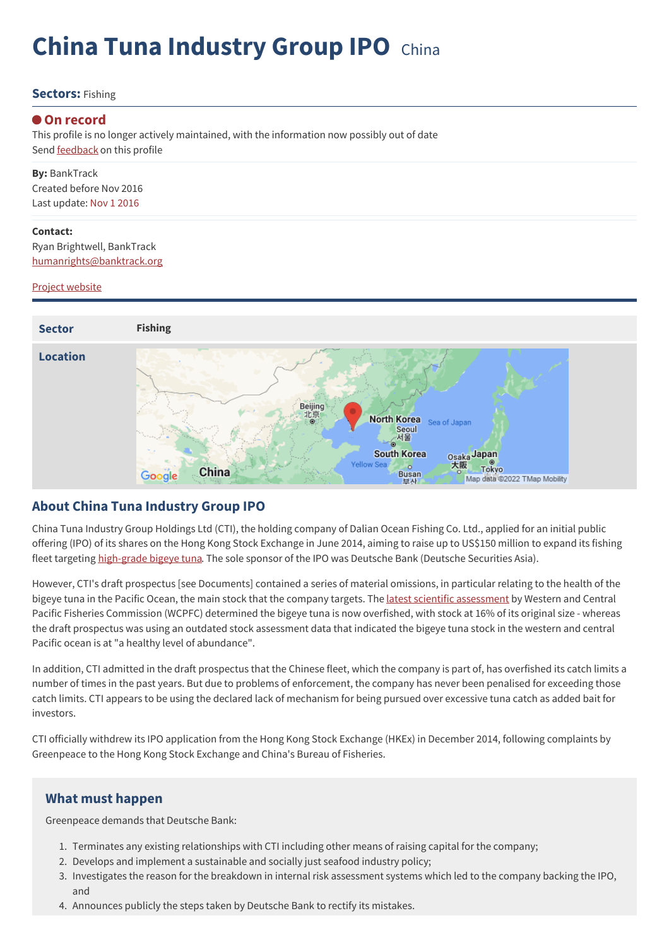# **China Tuna Industry Group IPO** China

#### **Sectors:** Fishing

#### **On record**

This profile is no longer actively maintained, with the information now possibly out of date Send **[feedback](https://www.banktrack.org/feedback/dodgydeal/china_tuna_industry_group_ipo)** on this profile

**By:** BankTrack Created before Nov 2016 Last update: Nov 1 2016

**Contact:** Ryan Brightwell, BankTrack [humanrights@banktrack.org](mailto:humanrights@banktrack.org)

#### Project website



#### **About China Tuna Industry Group IPO**

China Tuna Industry Group Holdings Ltd (CTI), the holding company of Dalian Ocean Fishing Co. Ltd., applied for an initial public offering (IPO) of its shares on the Hong Kong Stock Exchange in June 2014, aiming to raise up to US\$150 million to expand its fishing fleet targeting [high-grade](http://www.stuff.co.nz/business/farming/aquaculture/10465176/Offer-highlights-tuna-plight) bigeye tuna. The sole sponsor of the IPO was Deutsche Bank (Deutsche Securities Asia).

However, CTI's draft prospectus [see Documents] contained a series of material omissions, in particular relating to the health of the bigeye tuna in the Pacific Ocean, the main stock that the company targets. The latest scientific [assessment](https://wcpfc.int/node/18975) by Western and Central Pacific Fisheries Commission (WCPFC) determined the bigeye tuna is now overfished, with stock at 16% of its original size - whereas the draft prospectus was using an outdated stock assessment data that indicated the bigeye tuna stock in the western and central Pacific ocean is at "a healthy level of abundance".

In addition, CTI admitted in the draft prospectus that the Chinese fleet, which the company is part of, has overfished its catch limits a number of times in the past years. But due to problems of enforcement, the company has never been penalised for exceeding those catch limits. CTI appears to be using the declared lack of mechanism for being pursued over excessive tuna catch as added bait for investors.

CTI officially withdrew its IPO application from the Hong Kong Stock Exchange (HKEx) in December 2014, following complaints by Greenpeace to the Hong Kong Stock Exchange and China's Bureau of Fisheries.

#### **What must happen**

Greenpeace demands that Deutsche Bank:

- 1. Terminates any existing relationships with CTI including other means of raising capital for the company;
- 2. Develops and implement a sustainable and socially just seafood industry policy;
- 3. Investigates the reason for the breakdown in internal risk assessment systems which led to the company backing the IPO, and
- 4. Announces publicly the steps taken by Deutsche Bank to rectify its mistakes.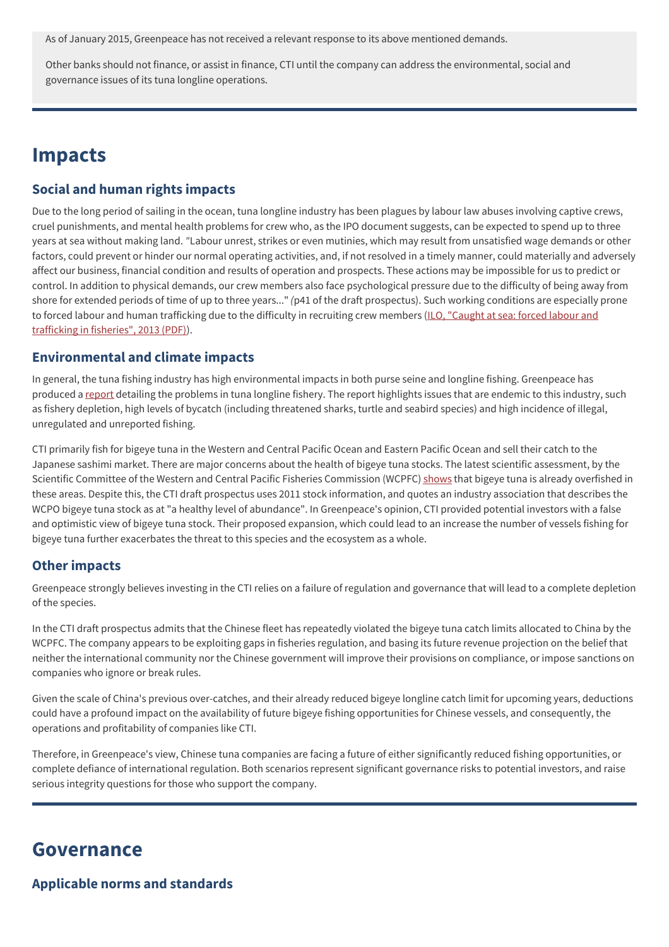As of January 2015, Greenpeace has not received a relevant response to its above mentioned demands.

Other banks should not finance, or assist in finance, CTI until the company can address the environmental, social and governance issues of its tuna longline operations.

### **Impacts**

#### **Social and human rights impacts**

Due to the long period of sailing in the ocean, tuna longline industry has been plagues by labour law abuses involving captive crews, cruel punishments, and mental health problems for crew who, as the IPO document suggests, can be expected to spend up to three years at sea without making land. *"*Labour unrest, strikes or even mutinies, which may result from unsatisfied wage demands or other factors, could prevent or hinder our normal operating activities, and, if not resolved in a timely manner, could materially and adversely affect our business, financial condition and results of operation and prospects. These actions may be impossible for us to predict or control. In addition to physical demands, our crew members also face psychological pressure due to the difficulty of being away from shore for extended periods of time of up to three years..." *(*p41 of the draft prospectus). Such working conditions are especially prone to forced labour and human [trafficking](http://www.ilo.org/wcmsp5/groups/public/---ed_norm/---declaration/documents/publication/wcms_214472.pdf) due to the difficulty in recruiting crew members (ILO, "Caught at sea: forced labour and trafficking in fisheries", 2013 (PDF)).

#### **Environmental and climate impacts**

In general, the tuna fishing industry has high environmental impacts in both purse seine and longline fishing. Greenpeace has produced a [report](http://www.greenpeace.org/international/Global/international/publications/oceans/2013/459-OutOfLineReport-DEF-LR.pdf) detailing the problems in tuna longline fishery. The report highlights issues that are endemic to this industry, such as fishery depletion, high levels of bycatch (including threatened sharks, turtle and seabird species) and high incidence of illegal, unregulated and unreported fishing.

CTI primarily fish for bigeye tuna in the Western and Central Pacific Ocean and Eastern Pacific Ocean and sell their catch to the Japanese sashimi market. There are major concerns about the health of bigeye tuna stocks. The latest scientific assessment, by the Scientific Committee of the Western and Central Pacific Fisheries Commission (WCPFC) [shows](https://www.wcpfc.int/node/18975) that bigeye tuna is already overfished in these areas. Despite this, the CTI draft prospectus uses 2011 stock information, and quotes an industry association that describes the WCPO bigeye tuna stock as at "a healthy level of abundance". In Greenpeace's opinion, CTI provided potential investors with a false and optimistic view of bigeye tuna stock. Their proposed expansion, which could lead to an increase the number of vessels fishing for bigeye tuna further exacerbates the threat to this species and the ecosystem as a whole.

#### **Other impacts**

Greenpeace strongly believes investing in the CTI relies on a failure of regulation and governance that will lead to a complete depletion of the species.

In the CTI draft prospectus admits that the Chinese fleet has repeatedly violated the bigeye tuna catch limits allocated to China by the WCPFC. The company appears to be exploiting gaps in fisheries regulation, and basing its future revenue projection on the belief that neither the international community nor the Chinese government will improve their provisions on compliance, or impose sanctions on companies who ignore or break rules.

Given the scale of China's previous over-catches, and their already reduced bigeye longline catch limit for upcoming years, deductions could have a profound impact on the availability of future bigeye fishing opportunities for Chinese vessels, and consequently, the operations and profitability of companies like CTI.

Therefore, in Greenpeace's view, Chinese tuna companies are facing a future of either significantly reduced fishing opportunities, or complete defiance of international regulation. Both scenarios represent significant governance risks to potential investors, and raise serious integrity questions for those who support the company.

### **Governance**

**Applicable norms and standards**